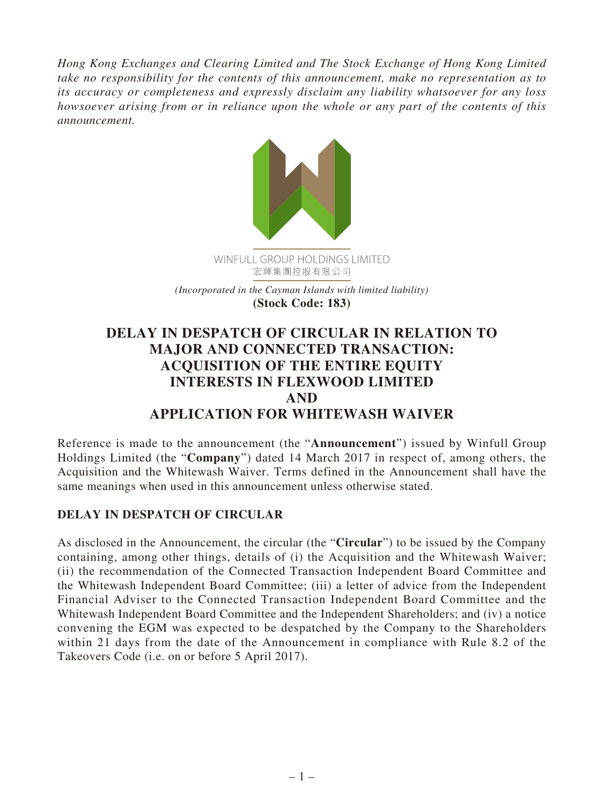*Hong Kong Exchanges and Clearing Limited and The Stock Exchange of Hong Kong Limited take no responsibility for the contents of this announcement, make no representation as to its accuracy or completeness and expressly disclaim any liability whatsoever for any loss howsoever arising from or in reliance upon the whole or any part of the contents of this announcement.*



**DELAY IN DESPATCH OF CIRCULAR IN RELATION TO MAJOR AND CONNECTED TRANSACTION: ACQUISITION OF THE ENTIRE EQUITY INTERESTS IN FLEXWOOD LIMITED AND APPLICATION FOR WHITEWASH WAIVER**

Reference is made to the announcement (the "**Announcement**") issued by Winfull Group Holdings Limited (the "**Company**") dated 14 March 2017 in respect of, among others, the Acquisition and the Whitewash Waiver. Terms defined in the Announcement shall have the same meanings when used in this announcement unless otherwise stated.

## **DELAY IN DESPATCH OF CIRCULAR**

As disclosed in the Announcement, the circular (the "**Circular**") to be issued by the Company containing, among other things, details of (i) the Acquisition and the Whitewash Waiver; (ii) the recommendation of the Connected Transaction Independent Board Committee and the Whitewash Independent Board Committee; (iii) a letter of advice from the Independent Financial Adviser to the Connected Transaction Independent Board Committee and the Whitewash Independent Board Committee and the Independent Shareholders; and (iv) a notice convening the EGM was expected to be despatched by the Company to the Shareholders within 21 days from the date of the Announcement in compliance with Rule 8.2 of the Takeovers Code (i.e. on or before 5 April 2017).